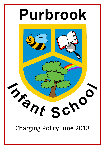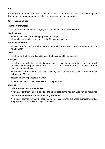# **Aim**

At Purbrook Infant School we aim to make appropriate charges which enable and encourage the development of a wide range of enriching activities and use of our facilities.

# **Key Responsibilities**

# **Finance Committee:**

• will review and amend the charging policy on behalf of the Governing Body

# **Headteacher:**

- will be responsible for drafting proposals for charges
- will provide information requested by the Finance Committee

### **Business Manager:**

 will provide effective financial administration enabling efficient budget management by the headteacher

#### **Users:**

will abide by the terms and conditions of the booking and hiring contract

### **Principles**

- we will ask for voluntary contributions for activities wholly or partly in school time which otherwise would be prohibited by cost. No child is excluded from any such activity on the basis of non-contribution
- we will pass on the cost of extra non statutory provision when the school arranges these activities, ie. Music
- **.** lessons taught by peripatetic teacher
- no more than £1,000 cash will be kept on the premises

### **Charges**

### **1. Offsite extra-curricular activities**

A voluntary contribution not exceeding the actual cost (to the nearest 10p) may be requested

### **2. Onsite activities – curriculum enriching activities**

A voluntary contribution may be requested on occasions when enhanced curricular activities are planned which involve buying in specialists.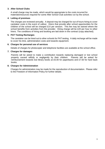### **3. After School Clubs**

A small charge may be made, which would be appropriate to the costs incurred for materials/resources required for some After School Club activities run by the school.

#### **4. Letting of premises**

The charges are reviewed annually. A deposit may be charged for out of hours hiring to cover caretaker costs in the event of callout. Hirers that provide after school opportunities for the children of the school will be charged £10 per session. This fee may be waived where the school benefits from activities from the provider. Hiring charge will be £20 per hour to other hirers. The conditions of hiring and booking are laid down in the contract (copy attached).

#### **5. PAT Testing Recharges**

The caretaker can be hired out to other schools for PAT testing. A daily recharge will be made to cover his time, administration costs and towards equipment.

#### **6. Charges for personal use of services**

Details of charges for photocopier and telephone facilities are available at the school office.

#### **7. Charges for damages**

Parents will be asked to make a contribution towards replacing damaged or lost school property caused wilfully or negligently by their children. Parents will be asked for reimbursement towards lost library books at £5.00 for paperbacks and £7.50 for hard back books.

#### **8. Charges for Administration**

Charges for administration may be made for the reproduction of documentation. Please refer to the Freedom of Information Policy for further details.